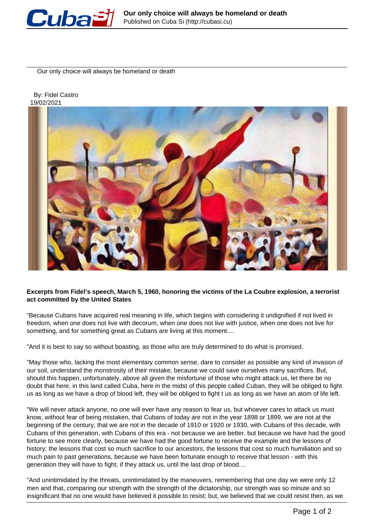

Our only choice will always be homeland or death

 By: Fidel Castro 19/02/2021



## **Excerpts from Fidel's speech, March 5, 1960, honoring the victims of the La Coubre explosion, a terrorist act committed by the United States**

"Because Cubans have acquired real meaning in life, which begins with considering it undignified if not lived in freedom, when one does not live with decorum, when one does not live with justice, when one does not live for something, and for something great as Cubans are living at this moment....

"And it is best to say so without boasting, as those who are truly determined to do what is promised.

"May those who, lacking the most elementary common sense, dare to consider as possible any kind of invasion of our soil, understand the monstrosity of their mistake, because we could save ourselves many sacrifices. But, should this happen, unfortunately, above all given the misfortune of those who might attack us, let there be no doubt that here, in this land called Cuba, here in the midst of this people called Cuban, they will be obliged to fight us as long as we have a drop of blood left, they will be obliged to fight t us as long as we have an atom of life left.

"We will never attack anyone, no one will ever have any reason to fear us, but whoever cares to attack us must know, without fear of being mistaken, that Cubans of today are not in the year 1898 or 1899, we are not at the beginning of the century, that we are not in the decade of 1910 or 1920 or 1930, with Cubans of this decade, with Cubans of this generation, with Cubans of this era - not because we are better, but because we have had the good fortune to see more clearly, because we have had the good fortune to receive the example and the lessons of history; the lessons that cost so much sacrifice to our ancestors, the lessons that cost so much humiliation and so much pain to past generations, because we have been fortunate enough to receive that lesson - with this generation they will have to fight, if they attack us, until the last drop of blood....

"And unintimidated by the threats, unintimidated by the maneuvers, remembering that one day we were only 12 men and that, comparing our strength with the strength of the dictatorship, our strength was so minute and so insignificant that no one would have believed it possible to resist; but, we believed that we could resist then, as we